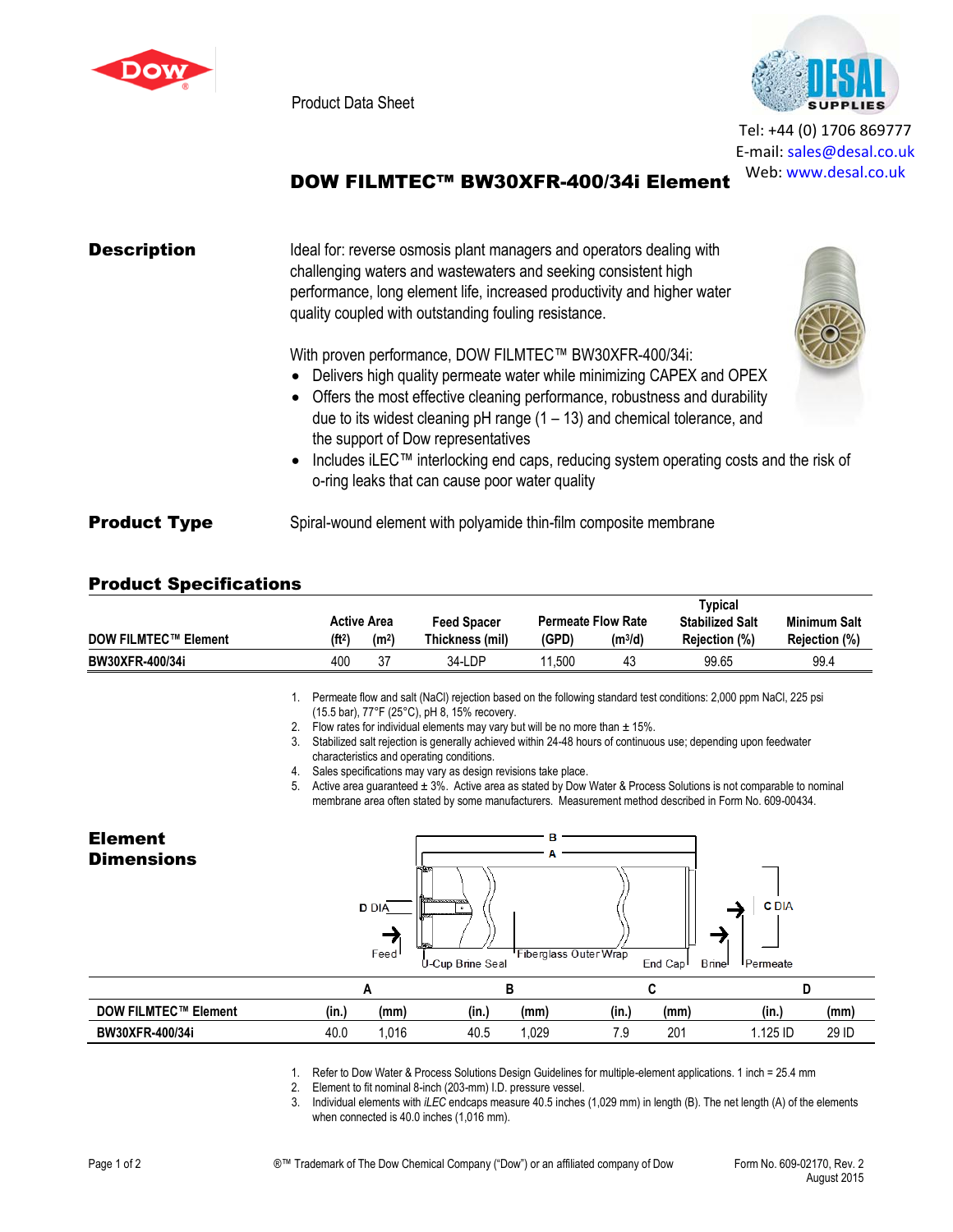

Product Data Sheet



Tel: +44 (0) 1706 869777 E‐mail: sales@desal.co.uk Web: www.desal.co.uk

## DOW FILMTEC™ BW30XFR-400/34i Element

| <b>Description</b>  | Ideal for: reverse osmosis plant managers and operators dealing with<br>challenging waters and wastewaters and seeking consistent high<br>performance, long element life, increased productivity and higher water<br>quality coupled with outstanding fouling resistance.                                                                                                                                                                                                                     |  |  |  |  |
|---------------------|-----------------------------------------------------------------------------------------------------------------------------------------------------------------------------------------------------------------------------------------------------------------------------------------------------------------------------------------------------------------------------------------------------------------------------------------------------------------------------------------------|--|--|--|--|
|                     | With proven performance, DOW FILMTEC™ BW30XFR-400/34i:<br>• Delivers high quality permeate water while minimizing CAPEX and OPEX<br>• Offers the most effective cleaning performance, robustness and durability<br>due to its widest cleaning $pH$ range (1 – 13) and chemical tolerance, and<br>the support of Dow representatives<br>• Includes iLEC <sup>TM</sup> interlocking end caps, reducing system operating costs and the risk of<br>o-ring leaks that can cause poor water quality |  |  |  |  |
| <b>Product Type</b> | Spiral-wound element with polyamide thin-film composite membrane                                                                                                                                                                                                                                                                                                                                                                                                                              |  |  |  |  |

## Product Specifications

|                             |                    |                    |                    | Typical |                           |                        |                      |
|-----------------------------|--------------------|--------------------|--------------------|---------|---------------------------|------------------------|----------------------|
|                             |                    | <b>Active Area</b> | <b>Feed Spacer</b> |         | <b>Permeate Flow Rate</b> | <b>Stabilized Salt</b> | <b>Minimum Salt</b>  |
| <b>DOW FILMTEC™ Element</b> | (ft <sup>2</sup> ) | (m <sup>2</sup> )  | Thickness (mil)    | (GPD)   | $(m^3/d)$                 | Rejection (%)          | <b>Rejection (%)</b> |
| BW30XFR-400/34i             | 400                | 37                 | 34-LDP             | .500    | 43                        | 99.65                  | 99.4                 |

1. Permeate flow and salt (NaCl) rejection based on the following standard test conditions: 2,000 ppm NaCl, 225 psi (15.5 bar), 77°F (25°C), pH 8, 15% recovery.

- 2. Flow rates for individual elements may vary but will be no more than  $\pm$  15%.
- 3. Stabilized salt rejection is generally achieved within 24-48 hours of continuous use; depending upon feedwater characteristics and operating conditions.
- 4. Sales specifications may vary as design revisions take place.<br>5. Active area quaranteed  $\pm 3\%$ . Active area as stated by Dow

Active area guaranteed  $\pm 3$ %. Active area as stated by Dow Water & Process Solutions is not comparable to nominal membrane area often stated by some manufacturers. Measurement method described in Form No. 609-00434.



1. Refer to Dow Water & Process Solutions Design Guidelines for multiple-element applications. 1 inch = 25.4 mm

2. Element to fit nominal 8-inch (203-mm) I.D. pressure vessel.

3. Individual elements with *iLEC* endcaps measure 40.5 inches (1,029 mm) in length (B). The net length (A) of the elements when connected is 40.0 inches (1,016 mm).